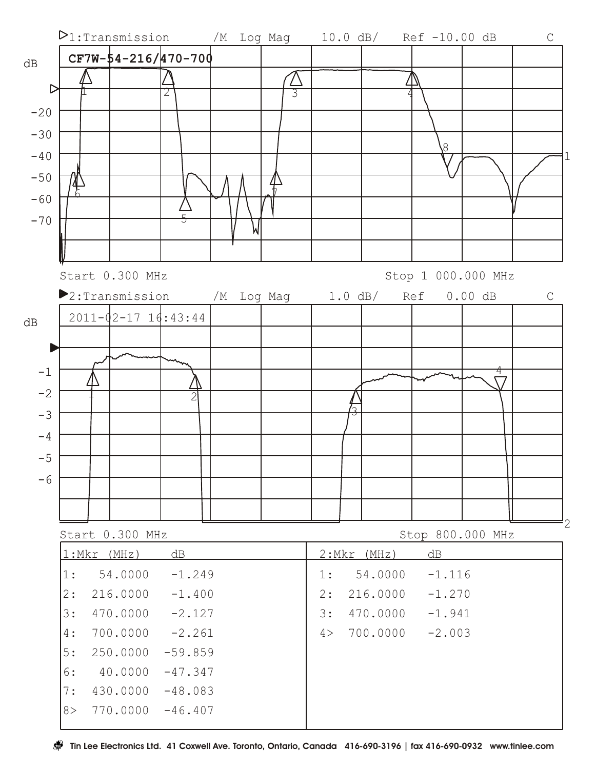

8> 770.0000 -46.407